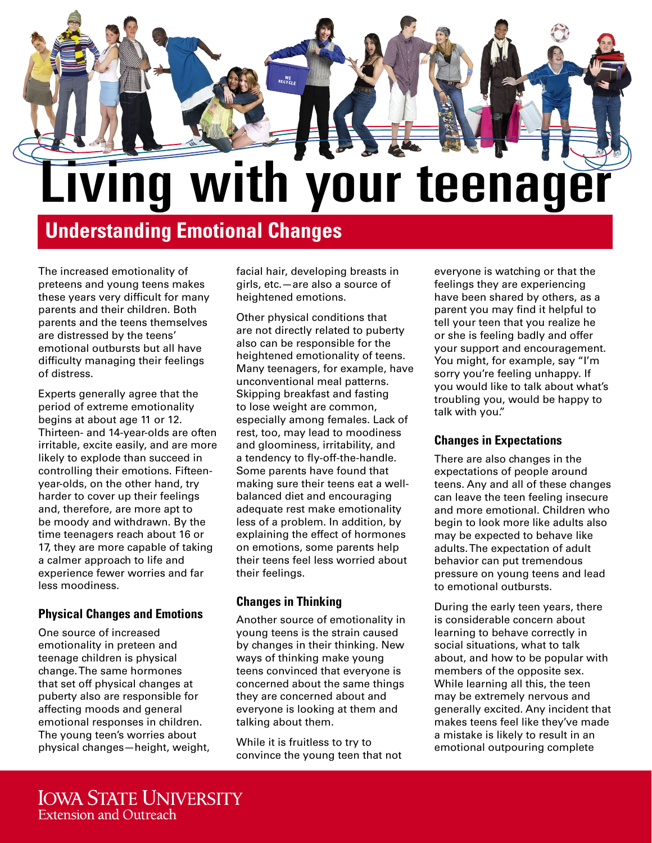

# **Understanding Emotional Changes**

The increased emotionality of preteens and young teens makes these years very difficult for many parents and their children. Both parents and the teens themselves are distressed by the teens' emotional outbursts but all have difficulty managing their feelings of distress.

Experts generally agree that the period of extreme emotionality begins at about age 11 or 12. Thirteen- and 14-year-olds are often irritable, excite easily, and are more likely to explode than succeed in controlling their emotions. Fifteenyear-olds, on the other hand, try harder to cover up their feelings and, therefore, are more apt to be moody and withdrawn. By the time teenagers reach about 16 or 17, they are more capable of taking a calmer approach to life and experience fewer worries and far less moodiness.

## **Physical Changes and Emotions**

One source of increased emotionality in preteen and teenage children is physical change. The same hormones that set off physical changes at puberty also are responsible for affecting moods and general emotional responses in children. The young teen's worries about physical changes—height, weight, facial hair, developing breasts in girls, etc.—are also a source of heightened emotions.

Other physical conditions that are not directly related to puberty also can be responsible for the heightened emotionality of teens. Many teenagers, for example, have unconventional meal patterns. Skipping breakfast and fasting to lose weight are common, especially among females. Lack of rest, too, may lead to moodiness and gloominess, irritability, and a tendency to fly-off-the-handle. Some parents have found that making sure their teens eat a wellbalanced diet and encouraging adequate rest make emotionality less of a problem. In addition, by explaining the effect of hormones on emotions, some parents help their teens feel less worried about their feelings.

## **Changes in Thinking**

Another source of emotionality in young teens is the strain caused by changes in their thinking. New ways of thinking make young teens convinced that everyone is concerned about the same things they are concerned about and everyone is looking at them and talking about them.

While it is fruitless to try to convince the young teen that not everyone is watching or that the feelings they are experiencing have been shared by others, as a parent you may find it helpful to tell your teen that you realize he or she is feeling badly and offer your support and encouragement. You might, for example, say "I'm sorry you're feeling unhappy. If you would like to talk about what's troubling you, would be happy to talk with you."

## **Changes in Expectations**

There are also changes in the expectations of people around teens. Any and all of these changes can leave the teen feeling insecure and more emotional. Children who begin to look more like adults also may be expected to behave like adults. The expectation of adult behavior can put tremendous pressure on young teens and lead to emotional outbursts.

During the early teen years, there is considerable concern about learning to behave correctly in social situations, what to talk about, and how to be popular with members of the opposite sex. While learning all this, the teen may be extremely nervous and generally excited. Any incident that makes teens feel like they've made a mistake is likely to result in an emotional outpouring complete